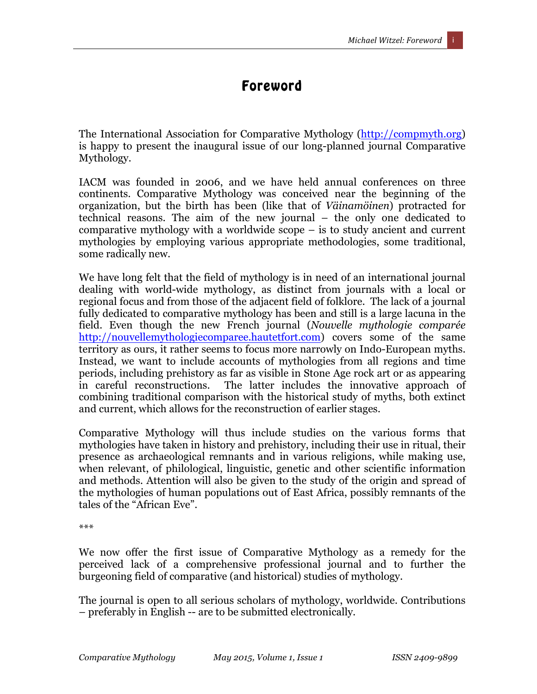## Foreword

The International Association for Comparative Mythology (http://compmyth.org) is happy to present the inaugural issue of our long-planned journal Comparative Mythology.

IACM was founded in 2006, and we have held annual conferences on three continents. Comparative Mythology was conceived near the beginning of the organization, but the birth has been (like that of *Väinamöinen*) protracted for technical reasons. The aim of the new journal – the only one dedicated to comparative mythology with a worldwide scope – is to study ancient and current mythologies by employing various appropriate methodologies, some traditional, some radically new.

We have long felt that the field of mythology is in need of an international journal dealing with world-wide mythology, as distinct from journals with a local or regional focus and from those of the adjacent field of folklore. The lack of a journal fully dedicated to comparative mythology has been and still is a large lacuna in the field. Even though the new French journal (*Nouvelle mythologie comparée* http://nouvellemythologiecomparee.hautetfort.com) covers some of the same territory as ours, it rather seems to focus more narrowly on Indo-European myths. Instead, we want to include accounts of mythologies from all regions and time periods, including prehistory as far as visible in Stone Age rock art or as appearing in careful reconstructions. The latter includes the innovative approach of combining traditional comparison with the historical study of myths, both extinct and current, which allows for the reconstruction of earlier stages.

Comparative Mythology will thus include studies on the various forms that mythologies have taken in history and prehistory, including their use in ritual, their presence as archaeological remnants and in various religions, while making use, when relevant, of philological, linguistic, genetic and other scientific information and methods. Attention will also be given to the study of the origin and spread of the mythologies of human populations out of East Africa, possibly remnants of the tales of the "African Eve".

\*\*\*

We now offer the first issue of Comparative Mythology as a remedy for the perceived lack of a comprehensive professional journal and to further the burgeoning field of comparative (and historical) studies of mythology.

The journal is open to all serious scholars of mythology, worldwide. Contributions – preferably in English -- are to be submitted electronically.